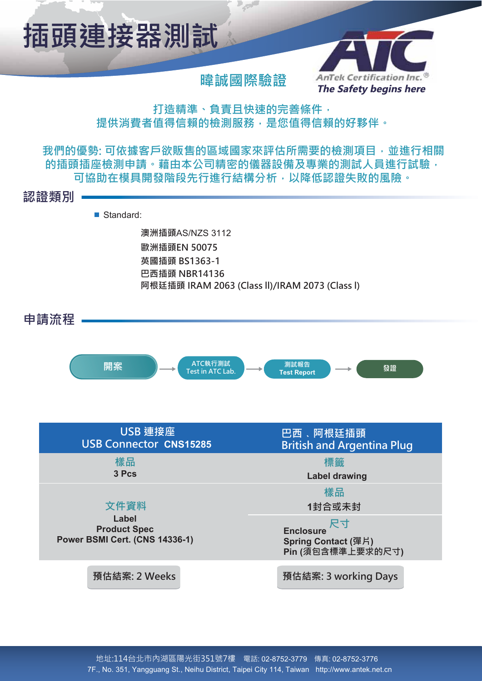

## **暐**誠國際驗證

**Section** 



打造精準、負責且快速的完善條件, 提供消費者值得信賴的檢測服務,是您值得信賴的好夥伴。

我們的優勢:可依據客戶欲販售的區域國家來評估所需要的檢測項目,並進行相關 的插頭插座檢測申請。藉由本公司精密的儀器設備及專業的測試人員進行試驗, 可協助在模具開發階段先行進行結構分析,以降低認證失敗的風險。

**奋娇朜⃣**

■ Standard:

**㹱㯰㊐曫**AS/NZS 3112 **歐洲插頭EN 50075** 英國插頭 BS1363-1 **巴西插頭 NBR14136 阿根廷插頭 IRAM 2063 (Class II)/IRAM 2073 (Class I)** 



| USB 連接座<br><b>USB Connector CNS15285</b>                              | 巴西、阿根廷插頭<br><b>British and Argentina Plug</b>                      |  |
|-----------------------------------------------------------------------|--------------------------------------------------------------------|--|
| 樣品<br>3 Pcs                                                           | 標籤<br><b>Label drawing</b>                                         |  |
| 文件資料                                                                  | 樣品<br>1封合或未封                                                       |  |
| Label<br><b>Product Spec</b><br><b>Power BSMI Cert. (CNS 14336-1)</b> | 尺寸<br><b>Enclosure</b><br>Spring Contact (彈片)<br>Pin (須包含標準上要求的尺寸) |  |
| 預估結案: 2 Weeks                                                         | 預估結案: 3 working Days                                               |  |